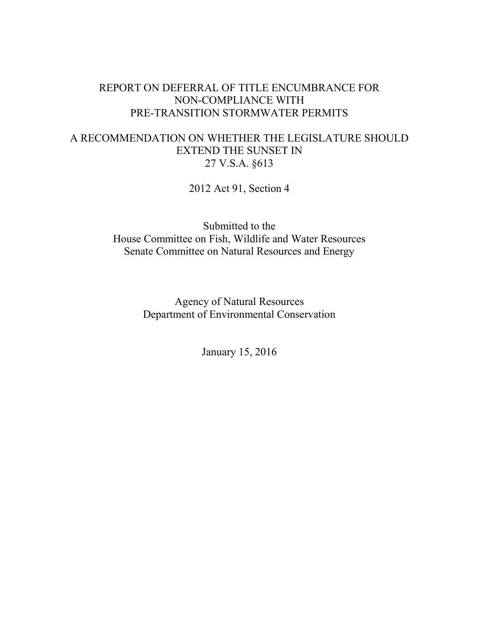# REPORT ON DEFERRAL OF TITLE ENCUMBRANCE FOR NON-COMPLIANCE WITH PRE-TRANSITION STORMWATER PERMITS

# A RECOMMENDATION ON WHETHER THE LEGISLATURE SHOULD EXTEND THE SUNSET IN 27 V.S.A. §613

2012 Act 91, Section 4

Submitted to the House Committee on Fish, Wildlife and Water Resources Senate Committee on Natural Resources and Energy

> Agency of Natural Resources Department of Environmental Conservation

> > January 15, 2016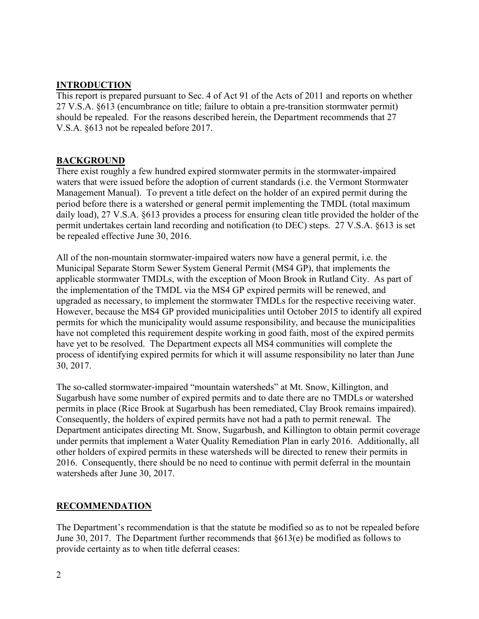## **INTRODUCTION**

This report is prepared pursuant to Sec. 4 of Act 91 of the Acts of 2011 and reports on whether 27 V.S.A. §613 (encumbrance on title; failure to obtain a pre-transition stormwater permit) should be repealed. For the reasons described herein, the Department recommends that 27 V.S.A. §613 not be repealed before 2017.

### **BACKGROUND**

There exist roughly a few hundred expired stormwater permits in the stormwater-impaired waters that were issued before the adoption of current standards (i.e. the Vermont Stormwater Management Manual). To prevent a title defect on the holder of an expired permit during the period before there is a watershed or general permit implementing the TMDL (total maximum daily load), 27 V.S.A. §613 provides a process for ensuring clean title provided the holder of the permit undertakes certain land recording and notification (to DEC) steps. 27 V.S.A. §613 is set be repealed effective June 30, 2016.

All of the non-mountain stormwater-impaired waters now have a general permit, i.e. the Municipal Separate Storm Sewer System General Permit (MS4 GP), that implements the applicable stormwater TMDLs, with the exception of Moon Brook in Rutland City. As part of the implementation of the TMDL via the MS4 GP expired permits will be renewed, and upgraded as necessary, to implement the stormwater TMDLs for the respective receiving water. However, because the MS4 GP provided municipalities until October 2015 to identify all expired permits for which the municipality would assume responsibility, and because the municipalities have not completed this requirement despite working in good faith, most of the expired permits have yet to be resolved. The Department expects all MS4 communities will complete the process of identifying expired permits for which it will assume responsibility no later than June 30, 2017.

The so-called stormwater-impaired "mountain watersheds" at Mt. Snow, Killington, and Sugarbush have some number of expired permits and to date there are no TMDLs or watershed permits in place (Rice Brook at Sugarbush has been remediated, Clay Brook remains impaired). Consequently, the holders of expired permits have not had a path to permit renewal. The Department anticipates directing Mt. Snow, Sugarbush, and Killington to obtain permit coverage under permits that implement a Water Quality Remediation Plan in early 2016. Additionally, all other holders of expired permits in these watersheds will be directed to renew their permits in 2016. Consequently, there should be no need to continue with permit deferral in the mountain watersheds after June 30, 2017.

### **RECOMMENDATION**

The Department's recommendation is that the statute be modified so as to not be repealed before June 30, 2017. The Department further recommends that §613(e) be modified as follows to provide certainty as to when title deferral ceases: